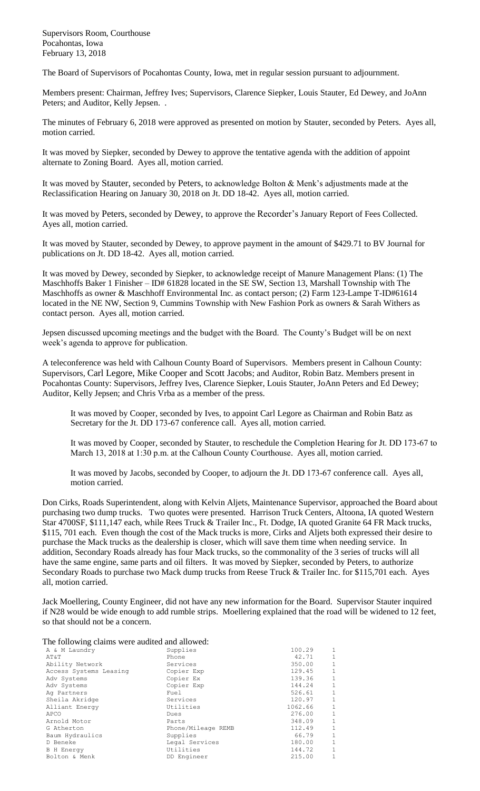Supervisors Room, Courthouse Pocahontas, Iowa February 13, 2018

The Board of Supervisors of Pocahontas County, Iowa, met in regular session pursuant to adjournment.

Members present: Chairman, Jeffrey Ives; Supervisors, Clarence Siepker, Louis Stauter, Ed Dewey, and JoAnn Peters; and Auditor, Kelly Jepsen. .

The minutes of February 6, 2018 were approved as presented on motion by Stauter, seconded by Peters. Ayes all, motion carried.

It was moved by Siepker, seconded by Dewey to approve the tentative agenda with the addition of appoint alternate to Zoning Board. Ayes all, motion carried.

It was moved by Stauter, seconded by Peters, to acknowledge Bolton & Menk's adjustments made at the Reclassification Hearing on January 30, 2018 on Jt. DD 18-42. Ayes all, motion carried.

It was moved by Peters, seconded by Dewey, to approve the Recorder's January Report of Fees Collected. Ayes all, motion carried.

It was moved by Stauter, seconded by Dewey, to approve payment in the amount of \$429.71 to BV Journal for publications on Jt. DD 18-42. Ayes all, motion carried.

It was moved by Dewey, seconded by Siepker, to acknowledge receipt of Manure Management Plans: (1) The Maschhoffs Baker 1 Finisher – ID# 61828 located in the SE SW, Section 13, Marshall Township with The Maschhoffs as owner & Maschhoff Environmental Inc. as contact person; (2) Farm 123-Lampe T-ID#61614 located in the NE NW, Section 9, Cummins Township with New Fashion Pork as owners & Sarah Withers as contact person. Ayes all, motion carried.

Jepsen discussed upcoming meetings and the budget with the Board. The County's Budget will be on next week's agenda to approve for publication.

A teleconference was held with Calhoun County Board of Supervisors. Members present in Calhoun County: Supervisors, Carl Legore, Mike Cooper and Scott Jacobs; and Auditor, Robin Batz. Members present in Pocahontas County: Supervisors, Jeffrey Ives, Clarence Siepker, Louis Stauter, JoAnn Peters and Ed Dewey; Auditor, Kelly Jepsen; and Chris Vrba as a member of the press.

It was moved by Cooper, seconded by Ives, to appoint Carl Legore as Chairman and Robin Batz as Secretary for the Jt. DD 173-67 conference call. Ayes all, motion carried.

It was moved by Cooper, seconded by Stauter, to reschedule the Completion Hearing for Jt. DD 173-67 to March 13, 2018 at 1:30 p.m. at the Calhoun County Courthouse. Ayes all, motion carried.

It was moved by Jacobs, seconded by Cooper, to adjourn the Jt. DD 173-67 conference call. Ayes all, motion carried.

Don Cirks, Roads Superintendent, along with Kelvin Aljets, Maintenance Supervisor, approached the Board about purchasing two dump trucks. Two quotes were presented. Harrison Truck Centers, Altoona, IA quoted Western Star 4700SF, \$111,147 each, while Rees Truck & Trailer Inc., Ft. Dodge, IA quoted Granite 64 FR Mack trucks, \$115, 701 each. Even though the cost of the Mack trucks is more, Cirks and Aljets both expressed their desire to purchase the Mack trucks as the dealership is closer, which will save them time when needing service. In addition, Secondary Roads already has four Mack trucks, so the commonality of the 3 series of trucks will all have the same engine, same parts and oil filters. It was moved by Siepker, seconded by Peters, to authorize Secondary Roads to purchase two Mack dump trucks from Reese Truck & Trailer Inc. for \$115,701 each. Ayes all, motion carried.

Jack Moellering, County Engineer, did not have any new information for the Board. Supervisor Stauter inquired if N28 would be wide enough to add rumble strips. Moellering explained that the road will be widened to 12 feet, so that should not be a concern.

The following claims were audited and allowed:

| Supplies           | 100.29  | $\mathbf{1}$ |
|--------------------|---------|--------------|
| Phone              | 42.71   | $\mathbf{1}$ |
| Services           | 350.00  | $\mathbf{1}$ |
| Copier Exp         | 129.45  | 1            |
| Copier Ex          | 139.36  | $\mathbf{1}$ |
| Copier Exp         | 144.24  | 1            |
| Fuel               | 526.61  | $\mathbf{1}$ |
| Services           | 120.97  | $\mathbf{1}$ |
| Utilities          | 1062.66 | $\mathbf{1}$ |
| Dues               | 276.00  | $\mathbf{1}$ |
| Parts              | 348.09  | $\mathbf{1}$ |
| Phone/Mileage REMB | 112.49  | $\mathbf{1}$ |
| Supplies           | 66.79   | $\mathbf{1}$ |
| Legal Services     | 180.00  | $\mathbf{1}$ |
| Utilities          | 144.72  | $\mathbf{1}$ |
| DD Engineer        | 215.00  | $\mathbf{1}$ |
|                    |         |              |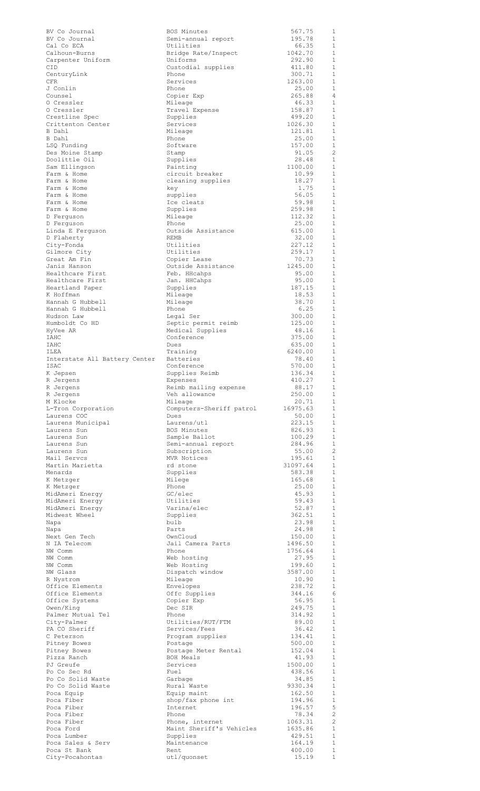| BV Co Journal                   | BOS Minutes              | 567.75          | 1              |
|---------------------------------|--------------------------|-----------------|----------------|
| BV Co Journal                   |                          | 195.78          | 1              |
|                                 | Semi-annual report       |                 | $\mathbf{1}$   |
| Cal Co ECA                      | Utilities                | 66.35           |                |
| Calhoun-Burns                   | Bridge Rate/Inspect      | 1042.70         | $\mathbf{1}$   |
| Carpenter Uniform               | Uniforms                 | 292.90          | $\mathbf{1}$   |
| CID                             | Custodial supplies       | 411.80          | 1              |
| CenturyLink                     | Phone                    | 300.71          | $\mathbf{1}$   |
| <b>CFR</b>                      | Services                 | 1263.00         | 1              |
| J Conlin                        | Phone                    | 25.00           | $\mathbf{1}$   |
| Counsel                         | Copier Exp               | 265.88          | 4              |
| 0 Cressler                      | Mileage                  | 46.33           | $\mathbf{1}$   |
| O Cressler                      | Travel Expense           | 158.87          | 1              |
| Crestline Spec                  | Supplies                 | 499.20          | $\mathbf{1}$   |
|                                 |                          | 1026.30         | $\mathbf{1}$   |
| Crittenton Center               | Services                 |                 |                |
| B Dahl                          | Mileage                  | 121.81          | $\mathbf{1}$   |
| B Dahl                          | Phone                    | 25.00           | $\mathbf{1}$   |
| LSQ Funding                     | Software                 | 157.00          | $\mathbf{1}$   |
| Des Moine Stamp                 | Stamp                    | 91.05           | $\overline{c}$ |
| Doolittle Oil                   | Supplies                 | 28.48           | $\mathbf{1}$   |
| Sam Ellingson                   | Painting                 | 1100.00         | 1              |
| Farm & Home                     | circuit breaker          | 10.99           | $\mathbf{1}$   |
| Farm & Home                     | cleaning supplies        | 18.27           | 1              |
| Farm & Home                     | kev                      | 1.75            | $\mathbf{1}$   |
|                                 |                          |                 | 1              |
| Farm & Home                     | supplies                 | 56.05           |                |
| Farm & Home                     | Ice cleats               | 59.98           | $\mathbf{1}$   |
| Farm & Home                     | Supplies                 | 259.98          | $\mathbf 1$    |
| D Ferguson                      | Mileage                  | 112.32          | $\mathbf{1}$   |
| D Ferquson                      | Phone                    | 25.00           | 1              |
| Linda E Ferguson                | Outside Assistance       | 615.00          | $\mathbf{1}$   |
| D Flaherty                      | REMB                     | 32.00           | 1              |
| City-Fonda                      | Utilities                | 227.12          | $\mathbf{1}$   |
| Gilmore City                    | Utilities                | 259.17          | 1              |
| Great Am Fin                    | Copier Lease             | 70.73           | $\mathbf{1}$   |
|                                 |                          |                 |                |
| Janis Hanson                    | Outside Assistance       | 1245.00         | 1              |
| Healthcare First                | Feb. HHcahps             | 95.00           | 1              |
| Healthcare First                | Jan. HHCahps             | 95.00           | 1              |
| Heartland Paper                 | Supplies                 | 187.15          | 1              |
| K Hoffman                       | Mileage                  | 18.53           | 1              |
| Hannah G Hubbell                | Mileage                  | 38.70           | $\mathbf{1}$   |
| Hannah G Hubbell                | Phone                    | 6.25            | $\mathbf{1}$   |
| Hudson Law                      | Legal Ser                | 300.00          | $\mathbf{1}$   |
| Humboldt Co HD                  | Septic permit reimb      | 125.00          | $\mathbf{1}$   |
|                                 |                          |                 | $\mathbf{1}$   |
| HyVee AR                        | Medical Supplies         | 48.16           |                |
| IAHC                            | Conference               | 375.00          | 1              |
| IAHC                            | Dues                     | 635.00          | 1              |
| ILEA                            | Training                 | 6240.00         | 1              |
| Interstate All Battery Center   | <b>Batteries</b>         | 78.40           | 1              |
| ISAC                            | Conference               | 570.00          | 1              |
| K Jepsen                        | Supplies Reimb           | 136.34          | 1              |
| R Jergens                       | Expenses                 | 410.27          | $\overline{1}$ |
| R Jergens                       | Reimb mailing expense    | 88.17           | 1              |
|                                 | Veh allowance            | 250.00          | $\overline{1}$ |
| R Jergens                       |                          |                 |                |
| M Klocke                        | Mileage                  | 20.71           | $\mathbf{1}$   |
| L-Tron Corporation              | Computers-Sheriff patrol | 16975.63        | -1             |
| Laurens COC                     | Dues                     | 50.00           | $\mathbf{1}$   |
| Laurens Municipal               | Laurens/utl              | 223.15          | 1              |
| Laurens Sun                     | BOS Minutes              | 826.93          | 1              |
| Laurens Sun                     | Sample Ballot            | 100.29          | $\mathbf{1}$   |
| Laurens Sun                     | Semi-annual report       | 284.96          | 1              |
| Laurens Sun                     | Subscription             | 55.00           | $\overline{2}$ |
| Mail Servcs                     | MVR Notices              | 195.61          | $\mathbf{1}$   |
| Martin Marietta                 | rd stone                 | 31097.64        | $\mathbf{1}$   |
|                                 |                          | 583.38          | $\mathbf{1}$   |
| Menards                         | Supplies                 |                 |                |
| K Metzger                       | Milege                   | 165.68          | $\mathbf{1}$   |
| K Metzger                       | Phone                    | 25.00           | 1              |
| MidAmeri Energy                 | GC/elec                  | 45.93           | $\mathbf{1}$   |
| MidAmeri Energy                 | Utilities                | 59.43           | $\mathbf{1}$   |
| MidAmeri Energy                 | Varina/elec              | 52.87           | $\mathbf{1}$   |
| Midwest Wheel                   | Supplies                 | 362.51          | 1              |
| Napa                            | bulb                     | 23.98           | 1              |
| Napa                            | Parts                    | 24.98           | 1              |
| Next Gen Tech                   | OwnCloud                 | 150.00          | 1              |
| N IA Telecom                    | Jail Camera Parts        | 1496.50         | 1              |
|                                 |                          |                 | 1              |
| NW Comm                         | Phone                    | 1756.64         |                |
| NW Comm                         | Web hosting              | 27.95           | 1              |
| NW Comm                         | Web Hosting              | 199.60          | -1             |
| NW Glass                        | Dispatch window          | 3587.00         | 1              |
| R Nystrom                       | Mileage                  | 10.90           | 1              |
| Office Elements                 | Envelopes                | 238.72          | 1              |
| Office Elements                 | Offc Supplies            | 344.16          | 6              |
| Office Systems                  | Copier Exp               | 56.95           | 1              |
| Owen/King                       | Dec SIR                  | 249.75          | -1             |
| Palmer Mutual Tel               | Phone                    | 314.92          | 1              |
|                                 |                          |                 | 1              |
| City-Palmer                     | Utilities/RUT/FTM        | 89.00           |                |
| PA CO Sheriff                   | Services/Fees            | 36.42           | $\mathbf{1}$   |
| C Peterson                      | Program supplies         | 134.41          | $\mathbf{1}$   |
| Pitney Bowes                    | Postage                  | 500.00          | 1              |
| Pitney Bowes                    | Postage Meter Rental     | 152.04          | $\mathbf{1}$   |
| Pizza Ranch                     | BOH Meals                | 41.93           | 1              |
| PJ Greufe                       | Services                 | 1500.00         | $\mathbf{1}$   |
| Po Co Sec Rd                    | Fuel                     | 438.56          | 1              |
| Po Co Solid Waste               | Garbage                  | 34.85           | 1              |
| Po Co Solid Waste               | Rural Waste              | 9330.34         | 1              |
|                                 |                          | 162.50          |                |
| Poca Equip                      | Equip maint              |                 | 1              |
| Poca Fiber                      | shop/fax phone int       | 194.96          | 1              |
| Poca Fiber                      | Internet                 | 196.57          | 5              |
| Poca Fiber                      |                          | 78.34           | $\overline{c}$ |
| Poca Fiber                      | Phone                    |                 |                |
|                                 | Phone, internet          | 1063.31         | -2             |
| Poca Ford                       | Maint Sheriff's Vehicles | 1635.86         | $\mathbf{1}$   |
| Poca Lumber                     |                          | 429.51          | 1              |
|                                 | Supplies                 |                 | $\mathbf 1$    |
| Poca Sales & Serv               | Maintenance              | 164.19          | $\mathbf 1$    |
| Poca St Bank<br>City-Pocahontas | Rent<br>utl/quonset      | 400.00<br>15.19 | $\,1\,$        |